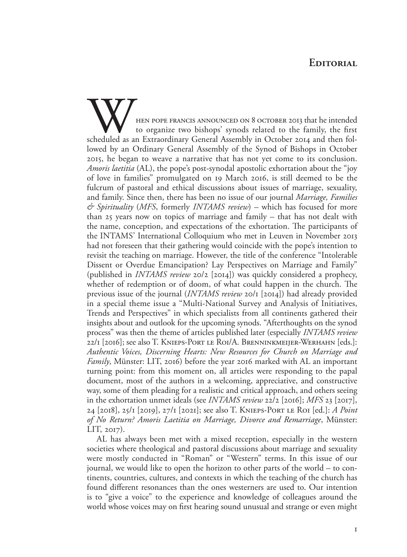## **Editorial**

HEN POPE FRANCIS ANNOUNCED ON 8 OCTOBER 2013 that he intended to organize two bishops' synods related to the family, the first scheduled as an Extraordinary General Assembly in October 2014 and then followed by an Ordinary General Assembly of the Synod of Bishops in October 2015, he began to weave a narrative that has not yet come to its conclusion. *Amoris laetitia* (AL), the pope's post-synodal apostolic exhortation about the "joy of love in families" promulgated on 19 March 2016, is still deemed to be the fulcrum of pastoral and ethical discussions about issues of marriage, sexuality, and family. Since then, there has been no issue of our journal *Marriage, Families & Spirituality* (*MFS*, formerly *INTAMS review*) – which has focused for more than 25 years now on topics of marriage and family – that has not dealt with the name, conception, and expectations of the exhortation. The participants of the INTAMS' International Colloquium who met in Leuven in November 2013 had not foreseen that their gathering would coincide with the pope's intention to revisit the teaching on marriage. However, the title of the conference "Intolerable Dissent or Overdue Emancipation? Lay Perspectives on Marriage and Family" (published in *INTAMS review* 20/2 [2014]) was quickly considered a prophecy, whether of redemption or of doom, of what could happen in the church. The previous issue of the journal (*INTAMS review* 20/1 [2014]) had already provided in a special theme issue a "Multi-National Survey and Analysis of Initiatives, Trends and Perspectives" in which specialists from all continents gathered their insights about and outlook for the upcoming synods. "Afterthoughts on the synod process" was then the theme of articles published later (especially *INTAMS review* 22/1 [2016]; see also T. Knieps-Port le Roi/A. Brenninkmeijer-Werhahn [eds.]: *Authentic Voices, Discerning Hearts: New Resources for Church on Marriage and Family*, Münster: LIT, 2016) before the year 2016 marked with AL an important turning point: from this moment on, all articles were responding to the papal document, most of the authors in a welcoming, appreciative, and constructive way, some of them pleading for a realistic and critical approach, and others seeing in the exhortation unmet ideals (see *INTAMS review* 22/2 [2016]; *MFS* 23 [2017], 24 [2018], 25/1 [2019], 27/1 [2021]; see also T. Knieps-Port le Roi [ed.]: *A Point of No Return? Amoris Laetitia on Marriage, Divorce and Remarriage*, Münster: LIT, 2017).

AL has always been met with a mixed reception, especially in the western societies where theological and pastoral discussions about marriage and sexuality were mostly conducted in "Roman" or "Western" terms. In this issue of our journal, we would like to open the horizon to other parts of the world – to continents, countries, cultures, and contexts in which the teaching of the church has found different resonances than the ones westerners are used to. Our intention is to "give a voice" to the experience and knowledge of colleagues around the world whose voices may on first hearing sound unusual and strange or even might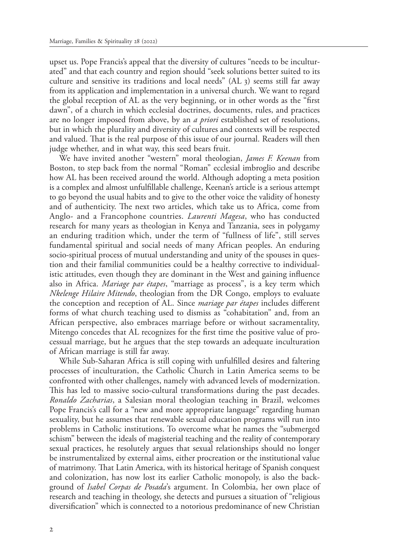upset us. Pope Francis's appeal that the diversity of cultures "needs to be inculturated" and that each country and region should "seek solutions better suited to its culture and sensitive its traditions and local needs" (AL 3) seems still far away from its application and implementation in a universal church. We want to regard the global reception of AL as the very beginning, or in other words as the "first dawn", of a church in which ecclesial doctrines, documents, rules, and practices are no longer imposed from above, by an *a priori* established set of resolutions, but in which the plurality and diversity of cultures and contexts will be respected and valued. That is the real purpose of this issue of our journal. Readers will then judge whether, and in what way, this seed bears fruit.

We have invited another "western" moral theologian, *James F. Keenan* from Boston, to step back from the normal "Roman" ecclesial imbroglio and describe how AL has been received around the world. Although adopting a meta position is a complex and almost unfulfillable challenge, Keenan's article is a serious attempt to go beyond the usual habits and to give to the other voice the validity of honesty and of authenticity. The next two articles, which take us to Africa, come from Anglo- and a Francophone countries. *Laurenti Magesa*, who has conducted research for many years as theologian in Kenya and Tanzania, sees in polygamy an enduring tradition which, under the term of "fullness of life", still serves fundamental spiritual and social needs of many African peoples. An enduring socio-spiritual process of mutual understanding and unity of the spouses in question and their familial communities could be a healthy corrective to individualistic attitudes, even though they are dominant in the West and gaining influence also in Africa. *Mariage par étapes*, "marriage as process", is a key term which *Nkelenge Hilaire Mitendo*, theologian from the DR Congo, employs to evaluate the conception and reception of AL. Since *mariage par étapes* includes different forms of what church teaching used to dismiss as "cohabitation" and, from an African perspective, also embraces marriage before or without sacramentality, Mitengo concedes that AL recognizes for the first time the positive value of processual marriage, but he argues that the step towards an adequate inculturation of African marriage is still far away.

While Sub-Saharan Africa is still coping with unfulfilled desires and faltering processes of inculturation, the Catholic Church in Latin America seems to be confronted with other challenges, namely with advanced levels of modernization. This has led to massive socio-cultural transformations during the past decades. *Ronaldo Zacharias*, a Salesian moral theologian teaching in Brazil, welcomes Pope Francis's call for a "new and more appropriate language" regarding human sexuality, but he assumes that renewable sexual education programs will run into problems in Catholic institutions. To overcome what he names the "submerged schism" between the ideals of magisterial teaching and the reality of contemporary sexual practices, he resolutely argues that sexual relationships should no longer be instrumentalized by external aims, either procreation or the institutional value of matrimony. That Latin America, with its historical heritage of Spanish conquest and colonization, has now lost its earlier Catholic monopoly, is also the background of *Isabel Corpas de Posada*'s argument. In Colombia, her own place of research and teaching in theology, she detects and pursues a situation of "religious diversification" which is connected to a notorious predominance of new Christian